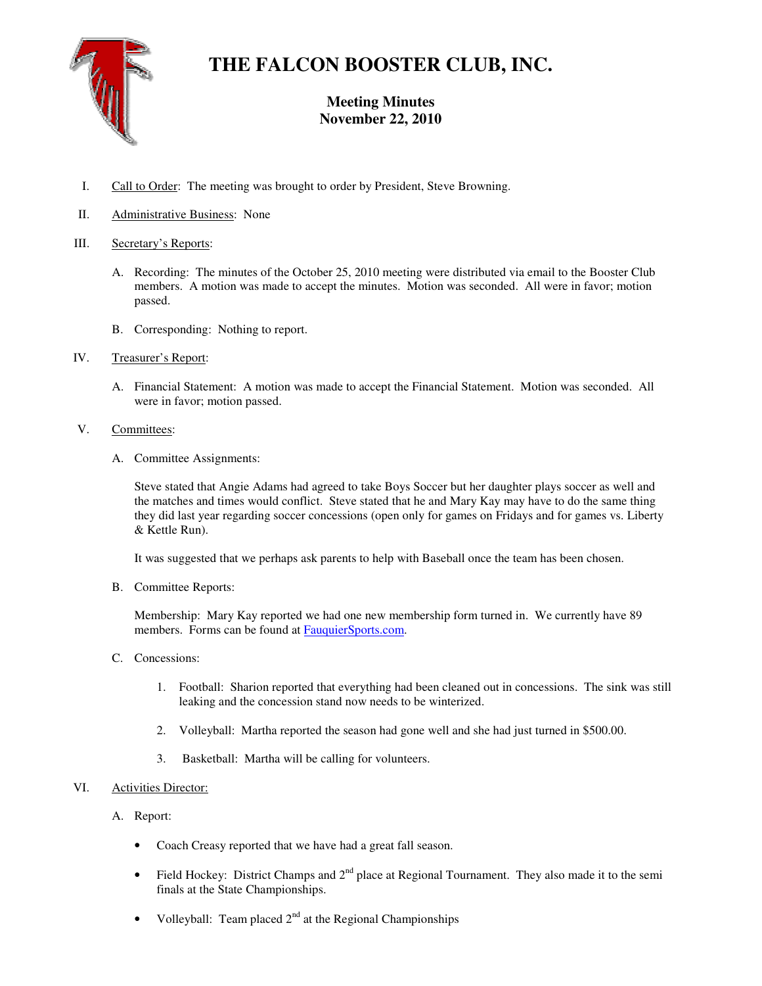

# **THE FALCON BOOSTER CLUB, INC.**

# **Meeting Minutes November 22, 2010**

- I. Call to Order: The meeting was brought to order by President, Steve Browning.
- II. Administrative Business: None

# III. Secretary's Reports:

- A. Recording: The minutes of the October 25, 2010 meeting were distributed via email to the Booster Club members. A motion was made to accept the minutes. Motion was seconded. All were in favor; motion passed.
- B. Corresponding: Nothing to report.
- IV. Treasurer's Report:
	- A. Financial Statement: A motion was made to accept the Financial Statement. Motion was seconded. All were in favor; motion passed.
- V. Committees:
	- A. Committee Assignments:

Steve stated that Angie Adams had agreed to take Boys Soccer but her daughter plays soccer as well and the matches and times would conflict. Steve stated that he and Mary Kay may have to do the same thing they did last year regarding soccer concessions (open only for games on Fridays and for games vs. Liberty & Kettle Run).

It was suggested that we perhaps ask parents to help with Baseball once the team has been chosen.

B. Committee Reports:

Membership: Mary Kay reported we had one new membership form turned in. We currently have 89 members. Forms can be found at **FauquierSports.com**.

- C. Concessions:
	- 1. Football: Sharion reported that everything had been cleaned out in concessions. The sink was still leaking and the concession stand now needs to be winterized.
	- 2. Volleyball: Martha reported the season had gone well and she had just turned in \$500.00.
	- 3. Basketball: Martha will be calling for volunteers.

# VI. Activities Director:

## A. Report:

- Coach Creasy reported that we have had a great fall season.
- Field Hockey: District Champs and  $2<sup>nd</sup>$  place at Regional Tournament. They also made it to the semi finals at the State Championships.
- Volleyball: Team placed  $2<sup>nd</sup>$  at the Regional Championships